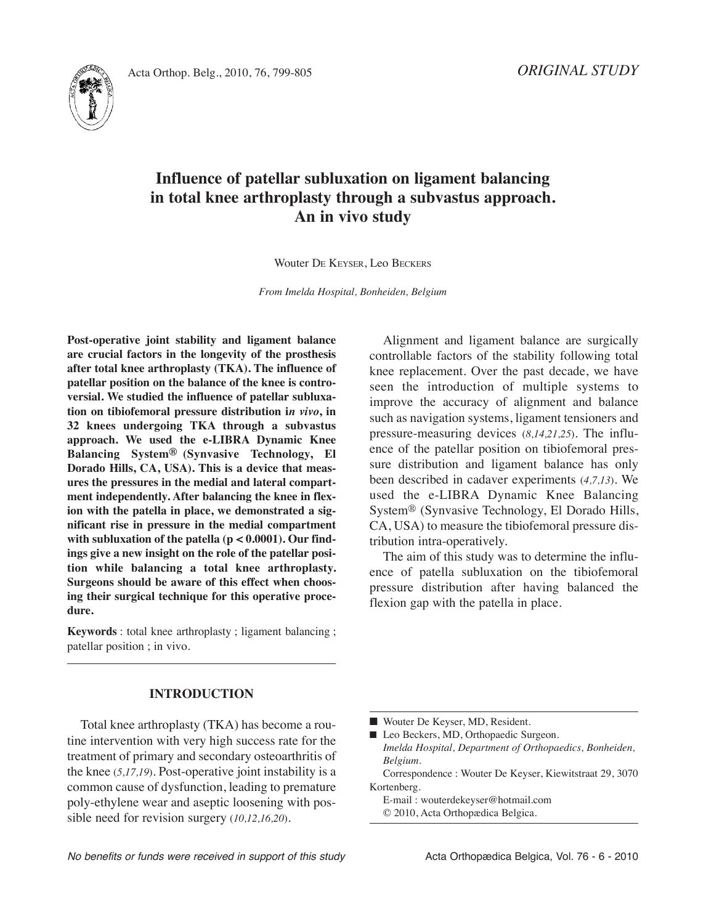



# **Influence of patellar subluxation on ligament balancing in total knee arthroplasty through a subvastus approach. An in vivo study**

Wouter DE KEySER, Leo BECKERS

*From Imelda Hospital, Bonheiden, Belgium*

**Post-operative joint stability and ligament balance are crucial factors in the longevity of the prosthesis after total knee arthroplasty (TKA). The influence of patellar position on the balance of the knee is controversial. We studied the influence of patellar subluxation on tibiofemoral pressure distribution i***n vivo***, in 32 knees undergoing TKA through a subvastus approach. We used the e-LIBRA Dynamic Knee Balancing System® (Synvasive Technology, El Dorado Hills, CA, USA). This is a device that measures the pressures in the medial and lateral compartment independently. After balancing the knee in flexion with the patella in place, we demonstrated a significant rise in pressure in the medial compartment with subluxation of the patella (p < 0.0001). Our findings give a new insight on the role of the patellar position while balancing a total knee arthroplasty. Surgeons should be aware of this effect when choosing their surgical technique for this operative procedure.**

**Keywords** : total knee arthroplasty ; ligament balancing ; patellar position ; in vivo.

Alignment and ligament balance are surgically controllable factors of the stability following total knee replacement. Over the past decade, we have seen the introduction of multiple systems to improve the accuracy of alignment and balance such as navigation systems, ligament tensioners and pressure-measuring devices (*8,14,21,25*)*.* The influence of the patellar position on tibiofemoral pressure distribution and ligament balance has only been described in cadaver experiments (*4,7,13*). We used the e-LIBRA Dynamic Knee Balancing System® (Synvasive Technology, El Dorado Hills, CA, USA) to measure the tibiofemoral pressure distribution intra-operatively.

The aim of this study was to determine the influence of patella subluxation on the tibiofemoral pressure distribution after having balanced the flexion gap with the patella in place.

# **INTRODUCTION**

Total knee arthroplasty (TKA) has become a routine intervention with very high success rate for the treatment of primary and secondary osteoarthritis of the knee (*5,17,19*). Post-operative joint instability is a common cause of dysfunction, leading to premature poly-ethylene wear and aseptic loosening with possible need for revision surgery (*10,12,16,20*).

- Wouter De Keyser, MD, Resident.
- Leo Beckers, MD, Orthopaedic Surgeon. *Imelda Hospital, Department of Orthopaedics, Bonheiden, Belgium.*

Correspondence : Wouter De Keyser, Kiewitstraat 29, 3070 Kortenberg.

E-mail : wouterdekeyser@hotmail.com

© 2010, Acta Orthopædica Belgica.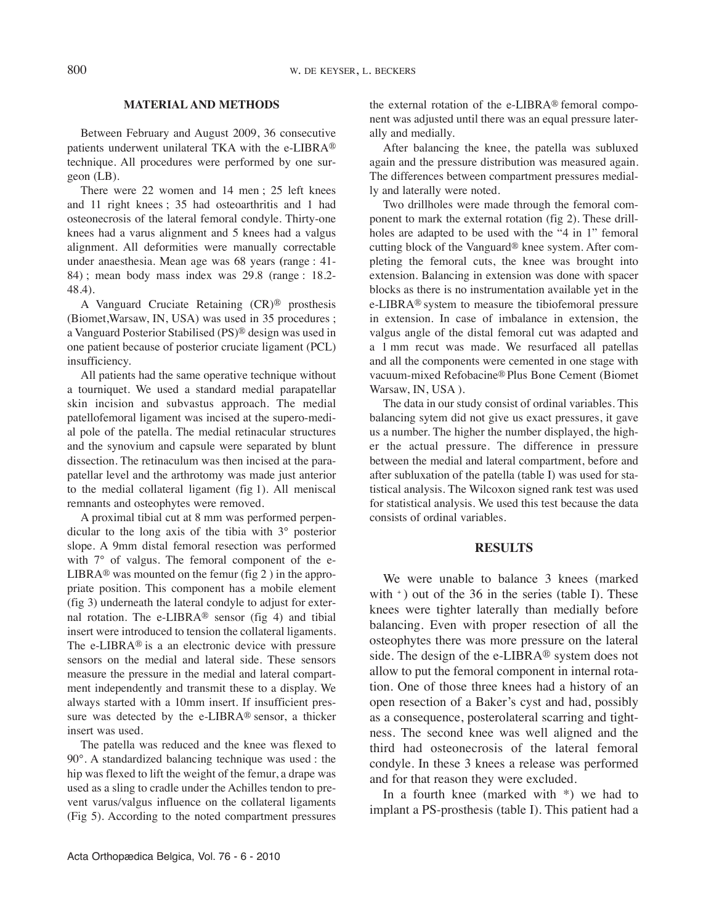### **MATERIAL AND METHODS**

Between February and August 2009, 36 consecutive patients underwent unilateral TKA with the e-LIBRA® technique. All procedures were performed by one surgeon (LB).

There were 22 women and 14 men ; 25 left knees and 11 right knees ; 35 had osteoarthritis and 1 had osteonecrosis of the lateral femoral condyle. Thirty-one knees had a varus alignment and 5 knees had a valgus alignment. All deformities were manually correctable under anaesthesia. Mean age was 68 years **(**range : 41- 84) ; mean body mass index was 29.8 (range : 18.2- 48.4).

A Vanguard Cruciate Retaining (CR)® prosthesis (Biomet,Warsaw, IN, USA) was used in 35 procedures ; a Vanguard Posterior Stabilised (PS)® design was used in one patient because of posterior cruciate ligament (PCL) insufficiency.

All patients had the same operative technique without a tourniquet. We used a standard medial parapatellar skin incision and subvastus approach. The medial patellofemoral ligament was incised at the supero-medial pole of the patella. The medial retinacular structures and the synovium and capsule were separated by blunt dissection. The retinaculum was then incised at the parapatellar level and the arthrotomy was made just anterior to the medial collateral ligament (fig 1). All meniscal remnants and osteophytes were removed.

A proximal tibial cut at 8 mm was performed perpendicular to the long axis of the tibia with 3° posterior slope. A 9mm distal femoral resection was performed with 7° of valgus. The femoral component of the e-LIBRA<sup>®</sup> was mounted on the femur (fig 2) in the appropriate position. This component has a mobile element (fig 3) underneath the lateral condyle to adjust for external rotation. The e-LIBRA® sensor (fig 4) and tibial insert were introduced to tension the collateral ligaments. The e-LIBRA® is a an electronic device with pressure sensors on the medial and lateral side. These sensors measure the pressure in the medial and lateral compartment independently and transmit these to a display. We always started with a 10mm insert. If insufficient pressure was detected by the e-LIBRA® sensor, a thicker insert was used.

The patella was reduced and the knee was flexed to 90°. A standardized balancing technique was used : the hip was flexed to lift the weight of the femur, a drape was used as a sling to cradle under the Achilles tendon to prevent varus/valgus influence on the collateral ligaments (Fig 5). According to the noted compartment pressures

the external rotation of the e-LIBRA® femoral component was adjusted until there was an equal pressure laterally and medially.

After balancing the knee, the patella was subluxed again and the pressure distribution was measured again. The differences between compartment pressures medially and laterally were noted.

Two drillholes were made through the femoral component to mark the external rotation (fig 2). These drillholes are adapted to be used with the "4 in 1" femoral cutting block of the Vanguard® knee system. After completing the femoral cuts, the knee was brought into extension. Balancing in extension was done with spacer blocks as there is no instrumentation available yet in the e-LIBRA® system to measure the tibiofemoral pressure in extension. In case of imbalance in extension, the valgus angle of the distal femoral cut was adapted and a 1 mm recut was made. We resurfaced all patellas and all the components were cemented in one stage with vacuum-mixed Refobacine® Plus Bone Cement (Biomet Warsaw, IN, USA ).

The data in our study consist of ordinal variables. This balancing sytem did not give us exact pressures, it gave us a number. The higher the number displayed, the higher the actual pressure. The difference in pressure between the medial and lateral compartment, before and after subluxation of the patella (table I) was used for statistical analysis. The Wilcoxon signed rank test was used for statistical analysis. We used this test because the data consists of ordinal variables.

#### **RESULTS**

We were unable to balance 3 knees (marked with  $\pm$ ) out of the 36 in the series (table I). These knees were tighter laterally than medially before balancing. Even with proper resection of all the osteophytes there was more pressure on the lateral side. The design of the e-LIBRA® system does not allow to put the femoral component in internal rotation. One of those three knees had a history of an open resection of a Baker's cyst and had, possibly as a consequence, posterolateral scarring and tightness. The second knee was well aligned and the third had osteonecrosis of the lateral femoral condyle. In these 3 knees a release was performed and for that reason they were excluded.

In a fourth knee (marked with \*) we had to implant a PS-prosthesis (table I). This patient had a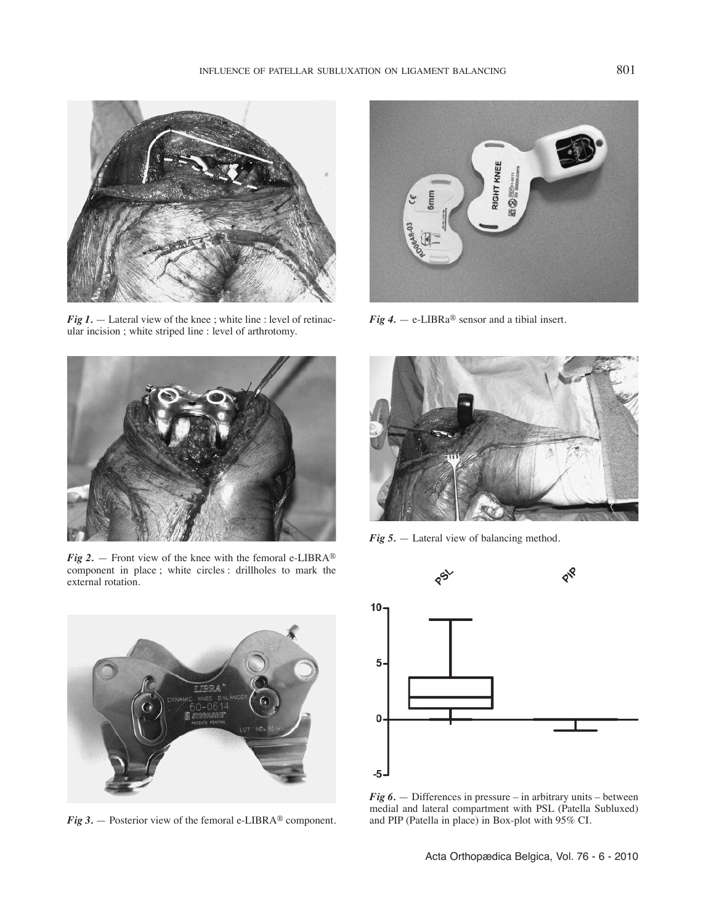

*Fig* 1. — Lateral view of the knee; white line : level of retinacular incision ; white striped line : level of arthrotomy.



*Fig 4.* — e-LIBRa® sensor and a tibial insert.



*Fig* 2. — Front view of the knee with the femoral e-LIBRA<sup>®</sup> component in place ; white circles : drillholes to mark the external rotation.



*Fig 5.* — Lateral view of balancing method.



*Fig 3.* — Posterior view of the femoral e-LIBRA® component.



*Fig 6.* — Differences in pressure – in arbitrary units – between medial and lateral compartment with PSL (Patella Subluxed) and PIP (Patella in place) in Box-plot with 95% CI.

Acta Orthopædica Belgica, Vol. 76 - 6 - 2010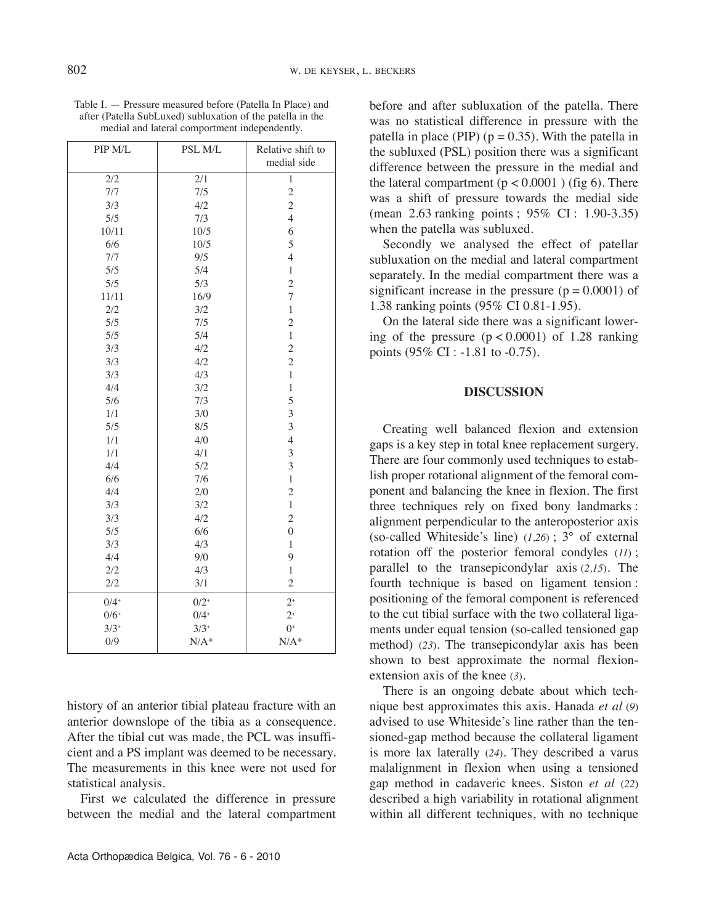| PIP M/L            | PSL M/L | Relative shift to |
|--------------------|---------|-------------------|
|                    |         | medial side       |
| 2/2                | 2/1     | $\mathbf{1}$      |
| 7/7                | 7/5     | $\overline{c}$    |
| 3/3                | 4/2     | $\overline{c}$    |
| 5/5                | 7/3     | $\overline{4}$    |
| 10/11              | 10/5    | 6                 |
| 6/6                | 10/5    | 5                 |
| 7/7                | 9/5     | $\overline{4}$    |
| 5/5                | 5/4     | $\mathbf{1}$      |
| 5/5                | 5/3     | $\overline{c}$    |
| 11/11              | 16/9    | 7                 |
| 2/2                | 3/2     | $\mathbf{1}$      |
| 5/5                | 7/5     | $\overline{c}$    |
| 5/5                | 5/4     | $\mathbf{1}$      |
| 3/3                | 4/2     | $\overline{c}$    |
| 3/3                | 4/2     | $\overline{c}$    |
| 3/3                | 4/3     | $\mathbf{1}$      |
| 4/4                | 3/2     | $\mathbf{1}$      |
| 5/6                | 7/3     | 5                 |
| 1/1                | 3/0     | 3                 |
| 5/5                | 8/5     | $\overline{3}$    |
| 1/1                | 4/0     | $\overline{4}$    |
| 1/1                | 4/1     | 3                 |
| 4/4                | 5/2     | $\overline{3}$    |
| 6/6                | 7/6     | $\mathbf{1}$      |
| 4/4                | 2/0     | $\overline{c}$    |
| 3/3                | 3/2     | $\mathbf{1}$      |
| 3/3                | 4/2     | $\overline{c}$    |
| 5/5                | 6/6     | $\overline{0}$    |
| 3/3                | 4/3     | $\mathbf{1}$      |
| 4/4                | 9/0     | 9                 |
| 2/2                | 4/3     | $\mathbf{1}$      |
| 2/2                | 3/1     | $\overline{c}$    |
| $0/4$ <sup>+</sup> | $0/2^+$ | $2^+$             |

Table I. — Pressure measured before (Patella In Place) and after (Patella SubLuxed) subluxation of the patella in the medial and lateral comportment independently.

history of an anterior tibial plateau fracture with an anterior downslope of the tibia as a consequence. After the tibial cut was made, the PCL was insufficient and a PS implant was deemed to be necessary. The measurements in this knee were not used for statistical analysis.

 $0/4+$  $3/3+$ N/A\*

 $2^{+}$  $0^+$ N/A\*

First we calculated the difference in pressure between the medial and the lateral compartment

 $0/6+$  $3/3+$ 0/9

before and after subluxation of the patella. There was no statistical difference in pressure with the patella in place (PIP)  $(p = 0.35)$ . With the patella in the subluxed (PSL) position there was a significant difference between the pressure in the medial and the lateral compartment  $(p < 0.0001)$  (fig 6). There was a shift of pressure towards the medial side (mean 2.63 ranking points ; 95% CI : 1.90-3.35) when the patella was subluxed.

Secondly we analysed the effect of patellar subluxation on the medial and lateral compartment separately. In the medial compartment there was a significant increase in the pressure  $(p = 0.0001)$  of 1.38 ranking points (95% CI 0.81-1.95).

On the lateral side there was a significant lowering of the pressure  $(p < 0.0001)$  of 1.28 ranking points (95% CI : -1.81 to -0.75).

# **DISCUSSION**

Creating well balanced flexion and extension gaps is a key step in total knee replacement surgery. There are four commonly used techniques to establish proper rotational alignment of the femoral component and balancing the knee in flexion. The first three techniques rely on fixed bony landmarks : alignment perpendicular to the anteroposterior axis (so-called Whiteside's line) (*1,26*) ; 3° of external rotation off the posterior femoral condyles (*11*) ; parallel to the transepicondylar axis (*2,15*)*.* The fourth technique is based on ligament tension : positioning of the femoral component is referenced to the cut tibial surface with the two collateral ligaments under equal tension (so-called tensioned gap method) (*23*). The transepicondylar axis has been shown to best approximate the normal flexionextension axis of the knee (*3*)*.*

There is an ongoing debate about which technique best approximates this axis. Hanada *et al* (*9*) advised to use Whiteside's line rather than the tensioned-gap method because the collateral ligament is more lax laterally (*24*)*.* They described a varus malalignment in flexion when using a tensioned gap method in cadaveric knees. Siston *et al* (*22*) described a high variability in rotational alignment within all different techniques, with no technique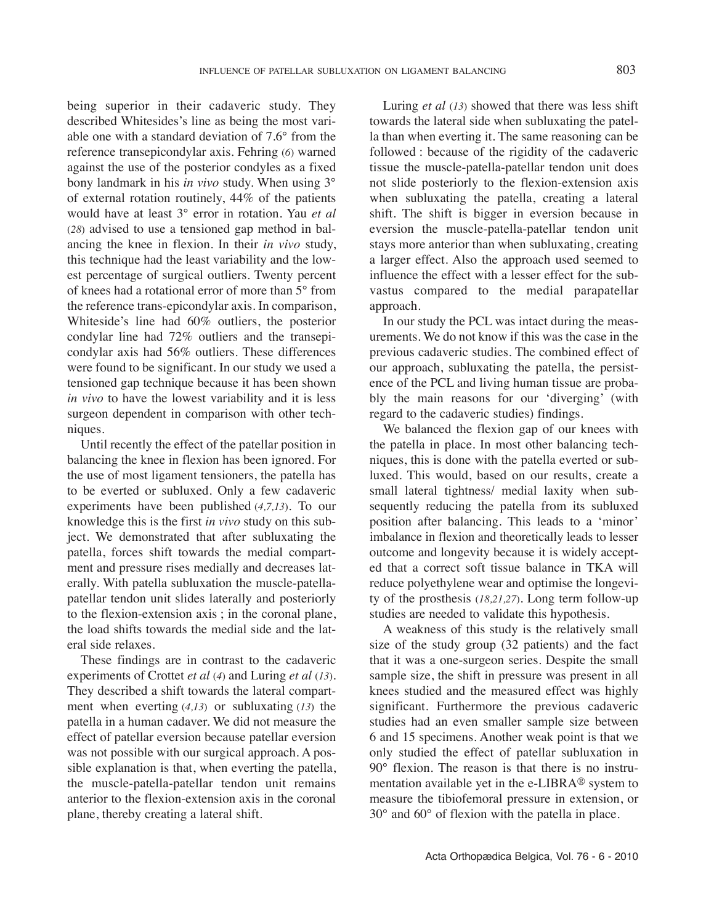being superior in their cadaveric study. They described Whitesides's line as being the most variable one with a standard deviation of 7.6° from the reference transepicondylar axis. Fehring (*6*) warned against the use of the posterior condyles as a fixed bony landmark in his *in vivo* study. When using 3° of external rotation routinely, 44% of the patients would have at least 3° error in rotation. yau *et al* (*28*) advised to use a tensioned gap method in balancing the knee in flexion. In their *in vivo* study, this technique had the least variability and the lowest percentage of surgical outliers. Twenty percent of knees had a rotational error of more than 5° from the reference trans-epicondylar axis. In comparison, Whiteside's line had 60% outliers, the posterior condylar line had 72% outliers and the transepicondylar axis had 56% outliers. These differences were found to be significant. In our study we used a tensioned gap technique because it has been shown *in vivo* to have the lowest variability and it is less surgeon dependent in comparison with other techniques.

Until recently the effect of the patellar position in balancing the knee in flexion has been ignored. For the use of most ligament tensioners, the patella has to be everted or subluxed. Only a few cadaveric experiments have been published (*4,7,13*)*.* To our knowledge this is the first *in vivo* study on this subject. We demonstrated that after subluxating the patella, forces shift towards the medial compartment and pressure rises medially and decreases laterally. With patella subluxation the muscle-patellapatellar tendon unit slides laterally and posteriorly to the flexion-extension axis ; in the coronal plane, the load shifts towards the medial side and the lateral side relaxes.

These findings are in contrast to the cadaveric experiments of Crottet *et al* (*4*) and Luring *et al* (*13*). They described a shift towards the lateral compartment when everting (*4,13*) or subluxating (*13*) the patella in a human cadaver. We did not measure the effect of patellar eversion because patellar eversion was not possible with our surgical approach. A possible explanation is that, when everting the patella, the muscle-patella-patellar tendon unit remains anterior to the flexion-extension axis in the coronal plane, thereby creating a lateral shift.

Luring *et al* (*13*) showed that there was less shift towards the lateral side when subluxating the patella than when everting it. The same reasoning can be followed : because of the rigidity of the cadaveric tissue the muscle-patella-patellar tendon unit does not slide posteriorly to the flexion-extension axis when subluxating the patella, creating a lateral shift. The shift is bigger in eversion because in eversion the muscle-patella-patellar tendon unit stays more anterior than when subluxating, creating a larger effect. Also the approach used seemed to influence the effect with a lesser effect for the subvastus compared to the medial parapatellar approach.

In our study the PCL was intact during the measurements. We do not know if this was the case in the previous cadaveric studies. The combined effect of our approach, subluxating the patella, the persistence of the PCL and living human tissue are probably the main reasons for our 'diverging' (with regard to the cadaveric studies) findings.

We balanced the flexion gap of our knees with the patella in place. In most other balancing techniques, this is done with the patella everted or subluxed. This would, based on our results, create a small lateral tightness/ medial laxity when subsequently reducing the patella from its subluxed position after balancing. This leads to a 'minor' imbalance in flexion and theoretically leads to lesser outcome and longevity because it is widely accepted that a correct soft tissue balance in TKA will reduce polyethylene wear and optimise the longevity of the prosthesis (*18,21,27*). Long term follow-up studies are needed to validate this hypothesis.

A weakness of this study is the relatively small size of the study group (32 patients) and the fact that it was a one-surgeon series. Despite the small sample size, the shift in pressure was present in all knees studied and the measured effect was highly significant. Furthermore the previous cadaveric studies had an even smaller sample size between 6 and 15 specimens. Another weak point is that we only studied the effect of patellar subluxation in 90° flexion. The reason is that there is no instrumentation available yet in the e-LIBRA® system to measure the tibiofemoral pressure in extension, or 30° and 60° of flexion with the patella in place.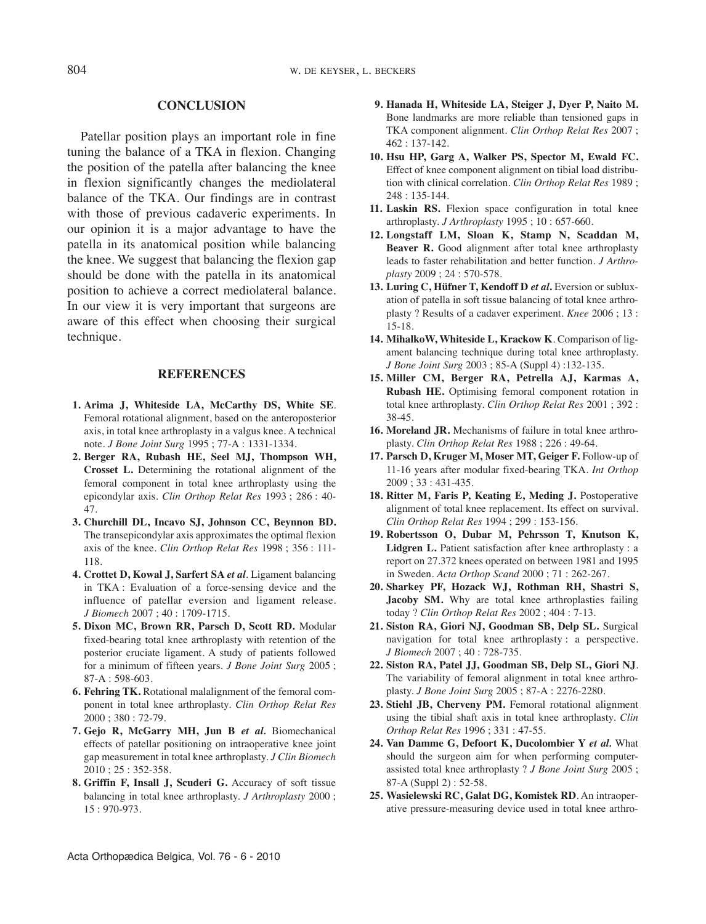## **CONCLUSION**

Patellar position plays an important role in fine tuning the balance of a TKA in flexion. Changing the position of the patella after balancing the knee in flexion significantly changes the mediolateral balance of the TKA. Our findings are in contrast with those of previous cadaveric experiments. In our opinion it is a major advantage to have the patella in its anatomical position while balancing the knee. We suggest that balancing the flexion gap should be done with the patella in its anatomical position to achieve a correct mediolateral balance. In our view it is very important that surgeons are aware of this effect when choosing their surgical technique.

#### **REFERENCES**

- **1. Arima J, Whiteside LA, McCarthy DS, White SE**. Femoral rotational alignment, based on the anteroposterior axis, in total knee arthroplasty in a valgus knee. A technical note. *J Bone Joint Surg* 1995 ; 77-A : 1331-1334.
- **2. Berger RA, Rubash HE, Seel MJ, Thompson WH, Crosset L.** Determining the rotational alignment of the femoral component in total knee arthroplasty using the epicondylar axis. *Clin Orthop Relat Res* 1993 ; 286 : 40- 47.
- **3. Churchill DL, Incavo SJ, Johnson CC, Beynnon BD.** The transepicondylar axis approximates the optimal flexion axis of the knee. *Clin Orthop Relat Res* 1998 ; 356 : 111- 118.
- **4. Crottet D, Kowal J, Sarfert SA** *et al.* Ligament balancing in TKA : Evaluation of a force-sensing device and the influence of patellar eversion and ligament release. *J Biomech* 2007 ; 40 : 1709-1715.
- **5. Dixon MC, Brown RR, Parsch D, Scott RD.** Modular fixed-bearing total knee arthroplasty with retention of the posterior cruciate ligament. A study of patients followed for a minimum of fifteen years. *J Bone Joint Surg* 2005 ; 87-A : 598-603.
- **6. Fehring TK.** Rotational malalignment of the femoral component in total knee arthroplasty. *Clin Orthop Relat Res* 2000 ; 380 : 72-79.
- **7. Gejo R, McGarry MH, Jun B** *et al.* Biomechanical effects of patellar positioning on intraoperative knee joint gap measurement in total knee arthroplasty. *J Clin Biomech* 2010 ; 25 : 352-358.
- **8. Griffin F, Insall J, Scuderi G.** Accuracy of soft tissue balancing in total knee arthroplasty. *J Arthroplasty* 2000 ; 15 : 970-973.
- **9. Hanada H, Whiteside LA, Steiger J, Dyer P, Naito M.** Bone landmarks are more reliable than tensioned gaps in TKA component alignment. *Clin Orthop Relat Res* 2007 ; 462 : 137-142.
- **10. Hsu HP, Garg A, Walker PS, Spector M, Ewald FC.** Effect of knee component alignment on tibial load distribution with clinical correlation. *Clin Orthop Relat Res* 1989 ; 248 : 135-144.
- **11. Laskin RS.** Flexion space configuration in total knee arthroplasty. *J Arthroplasty* 1995 ; 10 : 657-660.
- **12. Longstaff LM, Sloan K, Stamp N, Scaddan M, Beaver R.** Good alignment after total knee arthroplasty leads to faster rehabilitation and better function. *J Arthroplasty* 2009 ; 24 : 570-578.
- **13. Luring C, Hüfner T, Kendoff D** *et al***.** Eversion or subluxation of patella in soft tissue balancing of total knee arthroplasty ? Results of a cadaver experiment. *Knee* 2006 ; 13 : 15-18.
- **14. MihalkoW, Whiteside L, Krackow K**. Comparison of ligament balancing technique during total knee arthroplasty. *J Bone Joint Surg* 2003 ; 85-A (Suppl 4) :132-135.
- **15. Miller CM, Berger RA, Petrella AJ, Karmas A, Rubash HE.** Optimising femoral component rotation in total knee arthroplasty. *Clin Orthop Relat Res* 2001 ; 392 : 38-45.
- **16. Moreland JR.** Mechanisms of failure in total knee arthroplasty. *Clin Orthop Relat Res* 1988 ; 226 : 49-64.
- **17. Parsch D, Kruger M, Moser MT, Geiger F.** Follow-up of 11-16 years after modular fixed-bearing TKA. *Int Orthop* 2009 ; 33 : 431-435.
- **18. Ritter M, Faris P, Keating E, Meding J.** Postoperative alignment of total knee replacement. Its effect on survival. *Clin Orthop Relat Res* 1994 ; 299 : 153-156.
- **19. Robertsson O, Dubar M, Pehrsson T, Knutson K, Lidgren L.** Patient satisfaction after knee arthroplasty : a report on 27.372 knees operated on between 1981 and 1995 in Sweden. *Acta Orthop Scand* 2000 ; 71 : 262-267.
- **20. Sharkey PF, Hozack WJ, Rothman RH, Shastri S, Jacoby SM.** Why are total knee arthroplasties failing today ? *Clin Orthop Relat Res* 2002 ; 404 : 7-13.
- **21. Siston RA, Giori NJ, Goodman SB, Delp SL.** Surgical navigation for total knee arthroplasty : a perspective. *J Biomech* 2007 ; 40 : 728-735.
- **22. Siston RA, Patel JJ, Goodman SB, Delp SL, Giori NJ**. The variability of femoral alignment in total knee arthroplasty. *J Bone Joint Surg* 2005 ; 87-A : 2276-2280.
- **23. Stiehl JB, Cherveny PM.** Femoral rotational alignment using the tibial shaft axis in total knee arthroplasty. *Clin Orthop Relat Res* 1996 ; 331 : 47-55.
- **24. Van Damme G, Defoort K, Ducolombier Y** *et al.* What should the surgeon aim for when performing computerassisted total knee arthroplasty ? *J Bone Joint Surg* 2005 ; 87-A (Suppl 2) : 52-58.
- **25. Wasielewski RC, Galat DG, Komistek RD**. An intraoperative pressure-measuring device used in total knee arthro-